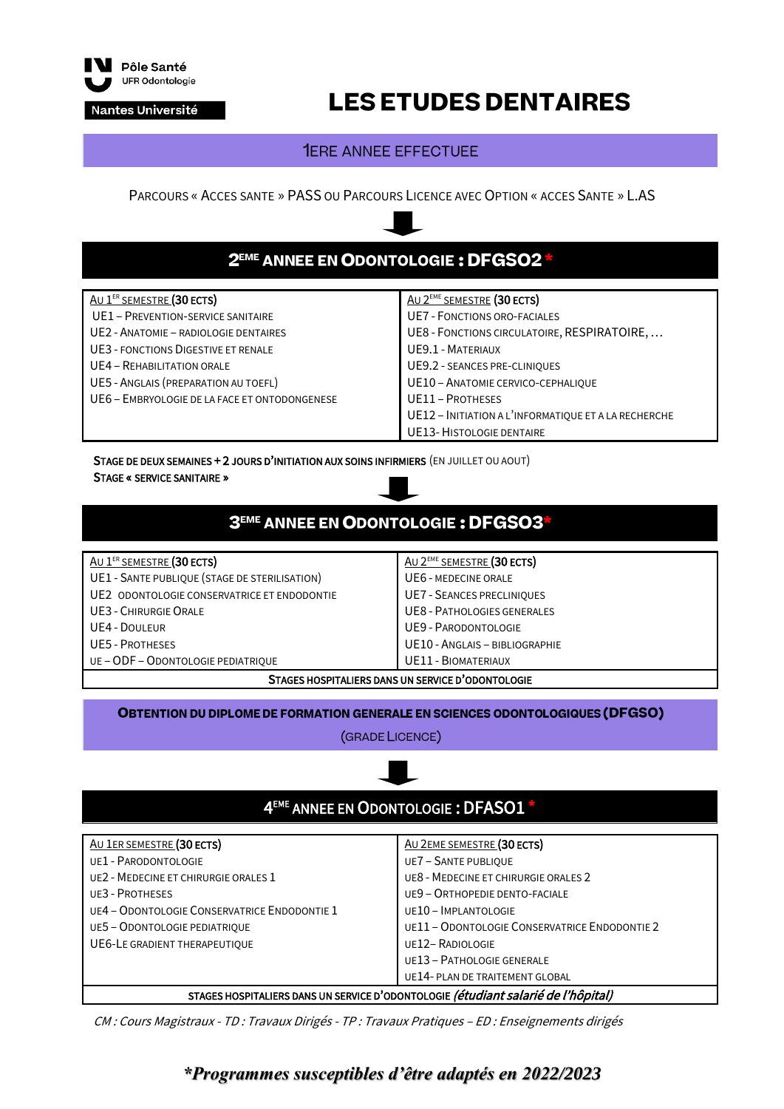

Nantes Université

# **LES ETUDES DENTAIRES**

### **1ERE ANNEE EFFECTUEE**

PARCOURS « ACCES SANTE » PASS OU PARCOURS LICENCE AVEC OPTION « ACCES SANTE » L.AS

## 2EME ANNEE EN ODONTOLOGIE: DFGSO2

#### <u>Au 1<sup>er</sup> semestre</u> (30 ects) UE1 – PREVENTION-SERVICE SANITAIRE UE2 - ANATOMIE – RADIOLOGIE DENTAIRES UE3 - FONCTIONS DIGESTIVE ET RENALE UE4 – REHABILITATION ORALE UE5 - ANGLAIS (PREPARATION AU TOEFL) UE6 – EMBRYOLOGIE DE LA FACE ET ONTODONGENESE **AU 2<sup>EME</sup> SEMESTRE (30 ECTS)** UE7 - FONCTIONS ORO-FACIALES UE8 - FONCTIONS CIRCULATOIRE, RESPIRATOIRE, … UE9.1 - MATERIAUX UE9.2 - SEANCES PRE-CLINIQUES UE10 – ANATOMIE CERVICO-CEPHALIQUE UE11 – PROTHESES UE12 – INITIATION A L'INFORMATIQUE ET A LA RECHERCHE UE13-HISTOLOGIE DENTAIRE

STAGE DE DEUX SEMAINES + 2 JOURS D'INITIATION AUX SOINS INFIRMIERS (EN JUILLET OU AOUT) STAGE « SERVICE SANITAIRE »

### 3<sup>EME</sup> ANNEE EN ODONTOLOGIE: DFGSO3

#### AU 1<sup>ER</sup> SEMESTRE (30 ECTS)

- UE1 SANTE PUBLIQUE (STAGE DE STERILISATION)
- UE2 ODONTOLOGIE CONSERVATRICE ET ENDODONTIE
- UE3 CHIRURGIE ORALE
- UE4 DOULEUR
- UE5 PROTHESES
- UE –ODF ODONTOLOGIE PEDIATRIQUE

AU 2<sup>EME</sup> SEMESTRE (30 ECTS) UE6 - MEDECINE ORALE UE7 - SEANCES PRECLINIQUES UE8 - PATHOLOGIES GENERALES UE9 - PARODONTOLOGIE UE10 - ANGLAIS – BIBLIOGRAPHIE UE11 - BIOMATERIAUX

#### STAGES HOSPITALIERS DANS UN SERVICE D'ODONTOLOGIE

#### **OBTENTION DU DIPLOME DE FORMATION GENERALE EN SCIENCES ODONTOLOGIQUES (DFGSO)**

(GRADE LICENCE)



CM : Cours Magistraux - TD : Travaux Dirigés - TP : Travaux Pratiques – ED : Enseignements dirigés

### *\*Programmes susceptibles d'être adaptés en 2022/2023*